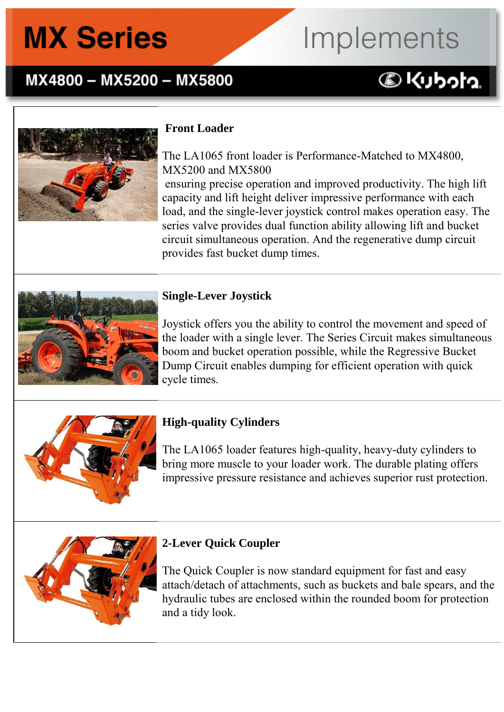### MX4800 - MX5200 - MX5800

# Implements

### **DKUbota**



### **Front Loader**

The LA1065 front loader is Performance-Matched to MX4800, MX5200 and MX5800 ensuring precise operation and improved productivity. The high lift capacity and lift height deliver impressive performance with each load, and the single-lever joystick control makes operation easy. The series valve provides dual function ability allowing lift and bucket circuit simultaneous operation. And the regenerative dump circuit provides fast bucket dump times.



### **Single-Lever Joystick**

Joystick offers you the ability to control the movement and speed of the loader with a single lever. The Series Circuit makes simultaneous boom and bucket operation possible, while the Regressive Bucket Dump Circuit enables dumping for efficient operation with quick cycle times.



### **High-quality Cylinders**

The LA1065 loader features high-quality, heavy-duty cylinders to bring more muscle to your loader work. The durable plating offers impressive pressure resistance and achieves superior rust protection.



### **2-Lever Quick Coupler**

The Quick Coupler is now standard equipment for fast and easy attach/detach of attachments, such as buckets and bale spears, and the hydraulic tubes are enclosed within the rounded boom for protection and a tidy look.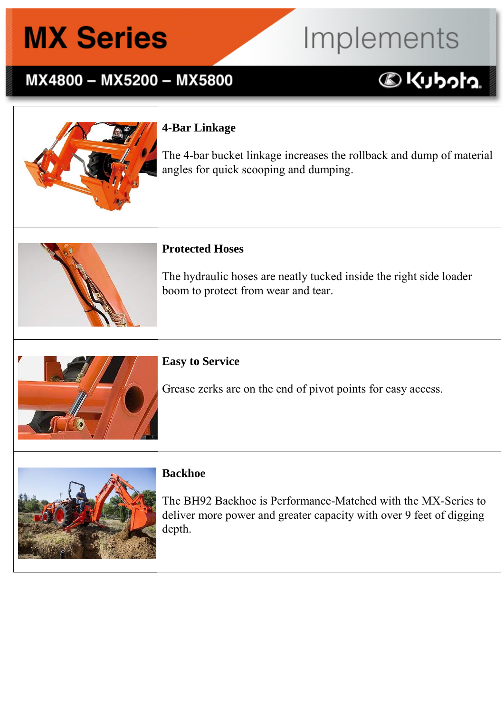### MX4800 - MX5200 - MX5800

### **4-Bar Linkage**

The 4-bar bucket linkage increases the rollback and dump of material angles for quick scooping and dumping.

Implements

**DKUbota** 



#### **Protected Hoses**

The hydraulic hoses are neatly tucked inside the right side loader boom to protect from wear and tear.



#### **Easy to Service**

Grease zerks are on the end of pivot points for easy access.



#### **Backhoe**

The BH92 Backhoe is Performance-Matched with the MX-Series to deliver more power and greater capacity with over 9 feet of digging depth.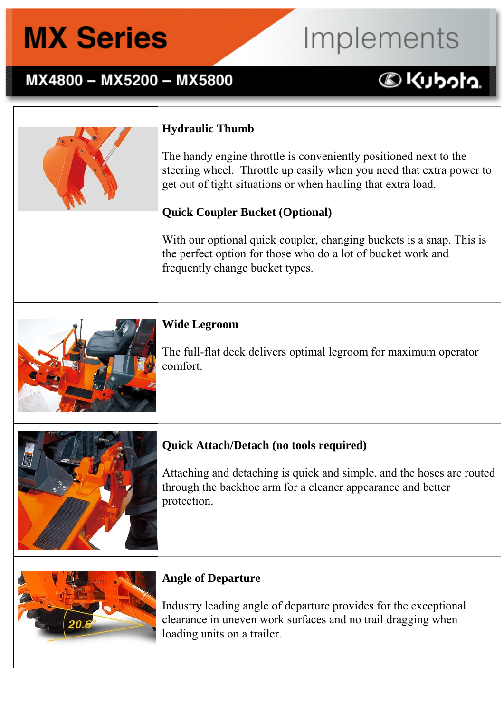### MX4800 - MX5200 - MX5800

### Implements **DKUbota**



### **Hydraulic Thumb**

The handy engine throttle is conveniently positioned next to the steering wheel. Throttle up easily when you need that extra power to get out of tight situations or when hauling that extra load.

#### **Quick Coupler Bucket (Optional)**

With our optional quick coupler, changing buckets is a snap. This is the perfect option for those who do a lot of bucket work and frequently change bucket types.



The full-flat deck delivers optimal legroom for maximum operator comfort.



### **Quick Attach/Detach (no tools required)**

Attaching and detaching is quick and simple, and the hoses are routed through the backhoe arm for a cleaner appearance and better protection.



### **Angle of Departure**

Industry leading angle of departure provides for the exceptional clearance in uneven work surfaces and no trail dragging when loading units on a trailer.